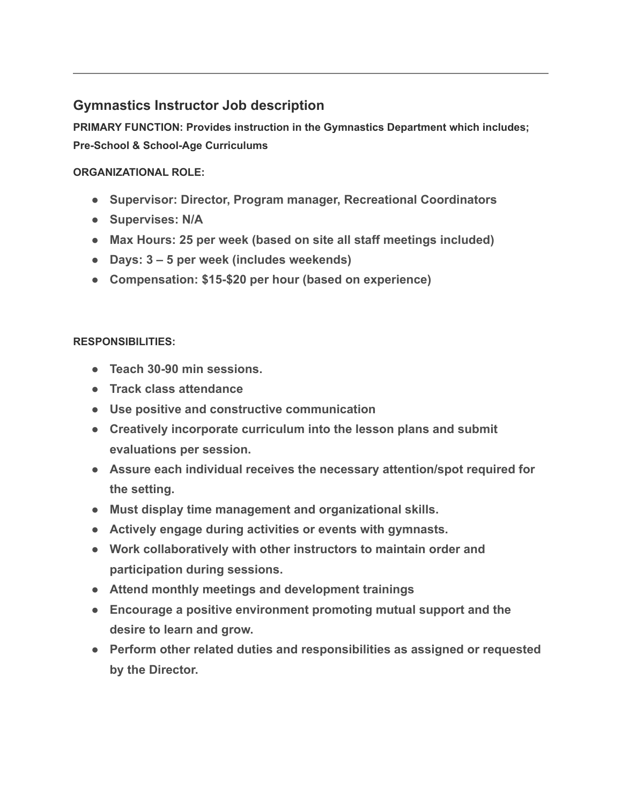## **Gymnastics Instructor Job description**

**PRIMARY FUNCTION: Provides instruction in the Gymnastics Department which includes; Pre-School & School-Age Curriculums**

## **ORGANIZATIONAL ROLE:**

- **Supervisor: Director, Program manager, Recreational Coordinators**
- **Supervises: N/A**
- **Max Hours: 25 per week (based on site all staff meetings included)**
- **Days: 3 5 per week (includes weekends)**
- **Compensation: \$15-\$20 per hour (based on experience)**

## **RESPONSIBILITIES:**

- **Teach 30-90 min sessions.**
- **Track class attendance**
- **Use positive and constructive communication**
- **Creatively incorporate curriculum into the lesson plans and submit evaluations per session.**
- **Assure each individual receives the necessary attention/spot required for the setting.**
- **Must display time management and organizational skills.**
- **Actively engage during activities or events with gymnasts.**
- **Work collaboratively with other instructors to maintain order and participation during sessions.**
- **Attend monthly meetings and development trainings**
- **Encourage a positive environment promoting mutual support and the desire to learn and grow.**
- **Perform other related duties and responsibilities as assigned or requested by the Director.**